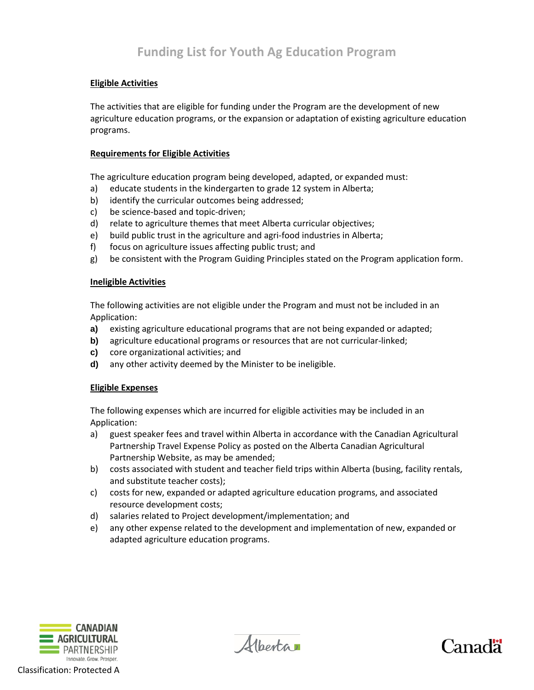# **Eligible Activities**

The activities that are eligible for funding under the Program are the development of new agriculture education programs, or the expansion or adaptation of existing agriculture education programs.

## **Requirements for Eligible Activities**

The agriculture education program being developed, adapted, or expanded must:

- a) educate students in the kindergarten to grade 12 system in Alberta;
- b) identify the curricular outcomes being addressed;
- c) be science-based and topic-driven;
- d) relate to agriculture themes that meet Alberta curricular objectives;
- e) build public trust in the agriculture and agri-food industries in Alberta;
- f) focus on agriculture issues affecting public trust; and
- g) be consistent with the Program Guiding Principles stated on the Program application form.

### **Ineligible Activities**

The following activities are not eligible under the Program and must not be included in an Application:

- **a)** existing agriculture educational programs that are not being expanded or adapted;
- **b)** agriculture educational programs or resources that are not curricular-linked;
- **c)** core organizational activities; and
- **d)** any other activity deemed by the Minister to be ineligible.

## **Eligible Expenses**

The following expenses which are incurred for eligible activities may be included in an Application:

- a) guest speaker fees and travel within Alberta in accordance with the Canadian Agricultural Partnership Travel Expense Policy as posted on the Alberta Canadian Agricultural Partnership Website, as may be amended;
- b) costs associated with student and teacher field trips within Alberta (busing, facility rentals, and substitute teacher costs);
- c) costs for new, expanded or adapted agriculture education programs, and associated resource development costs;
- d) salaries related to Project development/implementation; and
- e) any other expense related to the development and implementation of new, expanded or adapted agriculture education programs.



Albertar